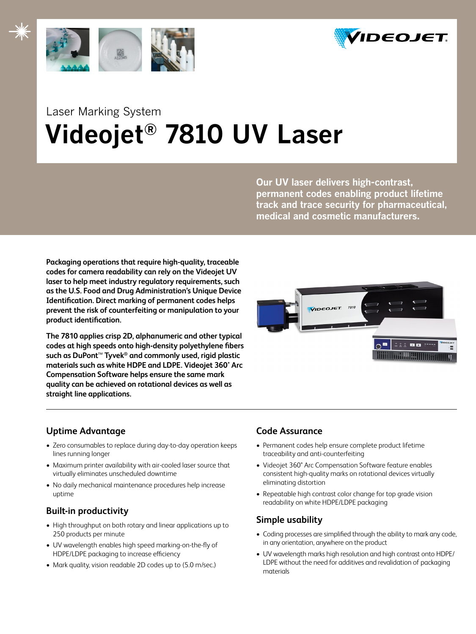



# Laser Marking System  **Videojet® 7810 UV Laser**

**Our UV laser delivers high-contrast, permanent codes enabling product lifetime track and trace security for pharmaceutical, medical and cosmetic manufacturers.**

**Packaging operations that require high-quality, traceable codes for camera readability can rely on the Videojet UV laser to help meet industry regulatory requirements, such as the U.S. Food and Drug Administration's Unique Device Identification. Direct marking of permanent codes helps prevent the risk of counterfeiting or manipulation to your product identification.** 

**The 7810 applies crisp 2D, alphanumeric and other typical codes at high speeds onto high-density polyethylene fibers such as DuPont**™ **Tyvek® and commonly used, rigid plastic materials such as white HDPE and LDPE. Videojet 360° Arc Compensation Software helps ensure the same mark quality can be achieved on rotational devices as well as straight line applications.** 



# **Uptime Advantage**

- Zero consumables to replace during day-to-day operation keeps lines running longer
- Maximum printer availability with air-cooled laser source that virtually eliminates unscheduled downtime
- No daily mechanical maintenance procedures help increase uptime

# **Built-in productivity**

- High throughput on both rotary and linear applications up to 250 products per minute
- • UV wavelength enables high speed marking-on-the-fly of HDPE/LDPE packaging to increase efficiency
- Mark quality, vision readable 2D codes up to (5.0 m/sec.)

# **Code Assurance**

- • Permanent codes help ensure complete product lifetime traceability and anti-counterfeiting
- Videojet 360° Arc Compensation Software feature enables consistent high-quality marks on rotational devices virtually eliminating distortion
- Repeatable high contrast color change for top grade vision readability on white HDPE/LDPE packaging

# **Simple usability**

- Coding processes are simplified through the ability to mark any code, in any orientation, anywhere on the product
- UV wavelength marks high resolution and high contrast onto HDPE/ LDPE without the need for additives and revalidation of packaging materials